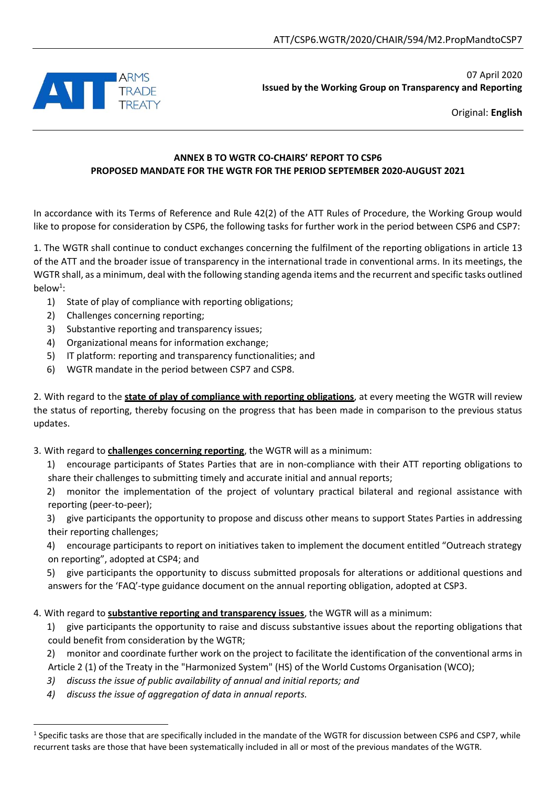

07 April 2020 **Issued by the Working Group on Transparency and Reporting**

Original: **English**

## **ANNEX B TO WGTR CO-CHAIRS' REPORT TO CSP6 PROPOSED MANDATE FOR THE WGTR FOR THE PERIOD SEPTEMBER 2020-AUGUST 2021**

In accordance with its Terms of Reference and Rule 42(2) of the ATT Rules of Procedure, the Working Group would like to propose for consideration by CSP6, the following tasks for further work in the period between CSP6 and CSP7:

1. The WGTR shall continue to conduct exchanges concerning the fulfilment of the reporting obligations in article 13 of the ATT and the broader issue of transparency in the international trade in conventional arms. In its meetings, the WGTR shall, as a minimum, deal with the following standing agenda items and the recurrent and specific tasks outlined below<sup>1</sup>:

- 1) State of play of compliance with reporting obligations;
- 2) Challenges concerning reporting;
- 3) Substantive reporting and transparency issues;
- 4) Organizational means for information exchange;
- 5) IT platform: reporting and transparency functionalities; and
- 6) WGTR mandate in the period between CSP7 and CSP8.

2. With regard to the **state of play of compliance with reporting obligations**, at every meeting the WGTR will review the status of reporting, thereby focusing on the progress that has been made in comparison to the previous status updates.

3. With regard to **challenges concerning reporting**, the WGTR will as a minimum:

1) encourage participants of States Parties that are in non-compliance with their ATT reporting obligations to share their challenges to submitting timely and accurate initial and annual reports;

2) monitor the implementation of the project of voluntary practical bilateral and regional assistance with reporting (peer-to-peer);

3) give participants the opportunity to propose and discuss other means to support States Parties in addressing their reporting challenges;

4) encourage participants to report on initiatives taken to implement the document entitled "Outreach strategy on reporting", adopted at CSP4; and

5) give participants the opportunity to discuss submitted proposals for alterations or additional questions and answers for the 'FAQ'-type guidance document on the annual reporting obligation, adopted at CSP3.

4. With regard to **substantive reporting and transparency issues**, the WGTR will as a minimum:

1) give participants the opportunity to raise and discuss substantive issues about the reporting obligations that could benefit from consideration by the WGTR;

2) monitor and coordinate further work on the project to facilitate the identification of the conventional arms in Article 2 (1) of the Treaty in the "Harmonized System" (HS) of the World Customs Organisation (WCO);

- *3) discuss the issue of public availability of annual and initial reports; and*
- *4) discuss the issue of aggregation of data in annual reports.*

 $\overline{a}$ 

 $<sup>1</sup>$  Specific tasks are those that are specifically included in the mandate of the WGTR for discussion between CSP6 and CSP7, while</sup> recurrent tasks are those that have been systematically included in all or most of the previous mandates of the WGTR.